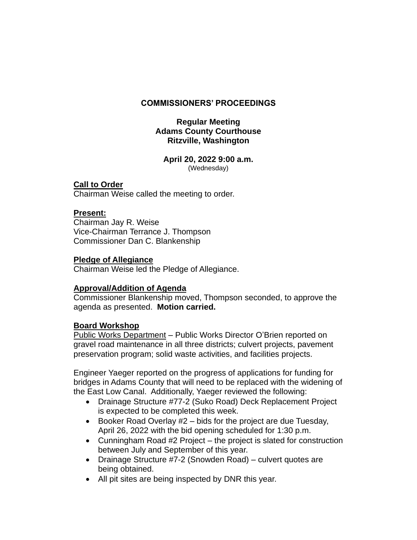# **COMMISSIONERS' PROCEEDINGS**

# **Regular Meeting Adams County Courthouse Ritzville, Washington**

## **April 20, 2022 9:00 a.m.** (Wednesday)

# **Call to Order**

Chairman Weise called the meeting to order.

# **Present:**

Chairman Jay R. Weise Vice-Chairman Terrance J. Thompson Commissioner Dan C. Blankenship

# **Pledge of Allegiance**

Chairman Weise led the Pledge of Allegiance.

# **Approval/Addition of Agenda**

Commissioner Blankenship moved, Thompson seconded, to approve the agenda as presented. **Motion carried.**

# **Board Workshop**

Public Works Department - Public Works Director O'Brien reported on gravel road maintenance in all three districts; culvert projects, pavement preservation program; solid waste activities, and facilities projects.

Engineer Yaeger reported on the progress of applications for funding for bridges in Adams County that will need to be replaced with the widening of the East Low Canal. Additionally, Yaeger reviewed the following:

- Drainage Structure #77-2 (Suko Road) Deck Replacement Project is expected to be completed this week.
- Booker Road Overlay #2 bids for the project are due Tuesday, April 26, 2022 with the bid opening scheduled for 1:30 p.m.
- Cunningham Road #2 Project the project is slated for construction between July and September of this year.
- Drainage Structure #7-2 (Snowden Road) culvert quotes are being obtained.
- All pit sites are being inspected by DNR this year.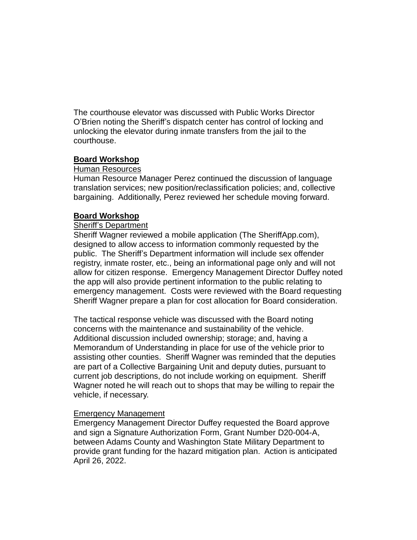The courthouse elevator was discussed with Public Works Director O'Brien noting the Sheriff's dispatch center has control of locking and unlocking the elevator during inmate transfers from the jail to the courthouse.

# **Board Workshop**

## Human Resources

Human Resource Manager Perez continued the discussion of language translation services; new position/reclassification policies; and, collective bargaining. Additionally, Perez reviewed her schedule moving forward.

## **Board Workshop**

## Sheriff's Department

Sheriff Wagner reviewed a mobile application (The SheriffApp.com), designed to allow access to information commonly requested by the public. The Sheriff's Department information will include sex offender registry, inmate roster, etc., being an informational page only and will not allow for citizen response. Emergency Management Director Duffey noted the app will also provide pertinent information to the public relating to emergency management. Costs were reviewed with the Board requesting Sheriff Wagner prepare a plan for cost allocation for Board consideration.

The tactical response vehicle was discussed with the Board noting concerns with the maintenance and sustainability of the vehicle. Additional discussion included ownership; storage; and, having a Memorandum of Understanding in place for use of the vehicle prior to assisting other counties. Sheriff Wagner was reminded that the deputies are part of a Collective Bargaining Unit and deputy duties, pursuant to current job descriptions, do not include working on equipment. Sheriff Wagner noted he will reach out to shops that may be willing to repair the vehicle, if necessary.

## Emergency Management

Emergency Management Director Duffey requested the Board approve and sign a Signature Authorization Form, Grant Number D20-004-A, between Adams County and Washington State Military Department to provide grant funding for the hazard mitigation plan. Action is anticipated April 26, 2022.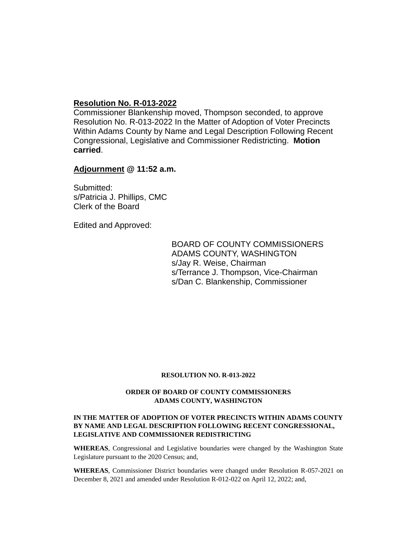## **Resolution No. R-013-2022**

Commissioner Blankenship moved, Thompson seconded, to approve Resolution No. R-013-2022 In the Matter of Adoption of Voter Precincts Within Adams County by Name and Legal Description Following Recent Congressional, Legislative and Commissioner Redistricting. **Motion carried**.

**Adjournment @ 11:52 a.m.**

Submitted: s/Patricia J. Phillips, CMC Clerk of the Board

Edited and Approved:

BOARD OF COUNTY COMMISSIONERS ADAMS COUNTY, WASHINGTON s/Jay R. Weise, Chairman s/Terrance J. Thompson, Vice-Chairman s/Dan C. Blankenship, Commissioner

### **RESOLUTION NO. R-013-2022**

## **ORDER OF BOARD OF COUNTY COMMISSIONERS ADAMS COUNTY, WASHINGTON**

### **IN THE MATTER OF ADOPTION OF VOTER PRECINCTS WITHIN ADAMS COUNTY BY NAME AND LEGAL DESCRIPTION FOLLOWING RECENT CONGRESSIONAL, LEGISLATIVE AND COMMISSIONER REDISTRICTING**

**WHEREAS**, Congressional and Legislative boundaries were changed by the Washington State Legislature pursuant to the 2020 Census; and,

**WHEREAS**, Commissioner District boundaries were changed under Resolution R-057-2021 on December 8, 2021 and amended under Resolution R-012-022 on April 12, 2022; and,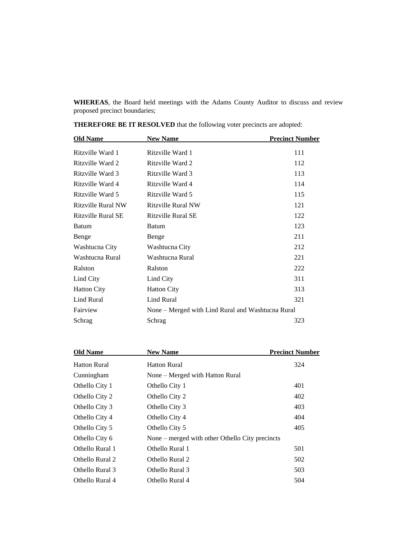**WHEREAS**, the Board held meetings with the Adams County Auditor to discuss and review proposed precinct boundaries;

| <b>Old Name</b>    | <b>New Name</b>                                   | <b>Precinct Number</b> |
|--------------------|---------------------------------------------------|------------------------|
| Ritzville Ward 1   | Ritzville Ward 1                                  | 111                    |
| Ritzville Ward 2   | Ritzville Ward 2                                  | 112                    |
| Ritzville Ward 3   | Ritzville Ward 3                                  | 113                    |
| Ritzville Ward 4   | Ritzville Ward 4                                  | 114                    |
| Ritzville Ward 5   | Ritzville Ward 5                                  | 115                    |
| Ritzville Rural NW | Ritzville Rural NW                                | 121                    |
| Ritzville Rural SE | Ritzville Rural SE                                | 122                    |
| Batum              | Batum                                             | 123                    |
| Benge              | Benge                                             | 211                    |
| Washtucna City     | Washtucna City                                    | 212                    |
| Washtucna Rural    | Washtucna Rural                                   | 221                    |
| Ralston            | Ralston                                           | 222                    |
| Lind City          | Lind City                                         | 311                    |
| <b>Hatton City</b> | <b>Hatton City</b>                                | 313                    |
| <b>Lind Rural</b>  | Lind Rural                                        | 321                    |
| Fairview           | None – Merged with Lind Rural and Washtucna Rural |                        |
| Schrag             | Schrag                                            | 323                    |

**THEREFORE BE IT RESOLVED** that the following voter precincts are adopted:

| <b>Old Name</b>     | <b>New Name</b>                                   | <b>Precinct Number</b> |
|---------------------|---------------------------------------------------|------------------------|
| <b>Hatton Rural</b> | <b>Hatton Rural</b>                               | 324                    |
| Cunningham          | None – Merged with Hatton Rural                   |                        |
| Othello City 1      | Othello City 1                                    | 401                    |
| Othello City 2      | Othello City 2                                    | 402                    |
| Othello City 3      | Othello City 3                                    | 403                    |
| Othello City 4      | Othello City 4                                    | 404                    |
| Othello City 5      | Othello City 5                                    | 405                    |
| Othello City 6      | None $-$ merged with other Othello City precincts |                        |
| Othello Rural 1     | Othello Rural 1                                   | 501                    |
| Othello Rural 2     | Othello Rural 2                                   | 502                    |
| Othello Rural 3     | Othello Rural 3                                   | 503                    |
| Othello Rural 4     | Othello Rural 4                                   | 504                    |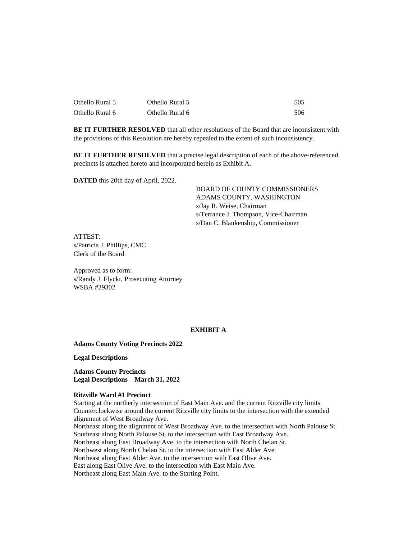| Othello Rural 5 | Othello Rural 5 | 505 |
|-----------------|-----------------|-----|
| Othello Rural 6 | Othello Rural 6 | 506 |

**BE IT FURTHER RESOLVED** that all other resolutions of the Board that are inconsistent with the provisions of this Resolution are hereby repealed to the extent of such inconsistency.

**BE IT FURTHER RESOLVED** that a precise legal description of each of the above-referenced precincts is attached hereto and incorporated herein as Exhibit A.

**DATED** this 20th day of April, 2022.

BOARD OF COUNTY COMMISSIONERS ADAMS COUNTY, WASHINGTON s/Jay R. Weise, Chairman s/Terrance J. Thompson, Vice-Chairman s/Dan C. Blankenship, Commissioner

ATTEST: s/Patricia J. Phillips, CMC Clerk of the Board

Approved as to form: s/Randy J. Flyckt, Prosecuting Attorney WSBA #29302

### **EXHIBIT A**

**Adams County Voting Precincts 2022**

**Legal Descriptions**

**Adams County Precincts Legal Descriptions** – **March 31, 2022**

### **Ritzville Ward #1 Precinct**

Starting at the northerly intersection of East Main Ave. and the current Ritzville city limits. Counterclockwise around the current Ritzville city limits to the intersection with the extended alignment of West Broadway Ave. Northeast along the alignment of West Broadway Ave. to the intersection with North Palouse St. Southeast along North Palouse St. to the intersection with East Broadway Ave. Northeast along East Broadway Ave. to the intersection with North Chelan St. Northwest along North Chelan St. to the intersection with East Alder Ave. Northeast along East Alder Ave. to the intersection with East Olive Ave. East along East Olive Ave. to the intersection with East Main Ave. Northeast along East Main Ave. to the Starting Point.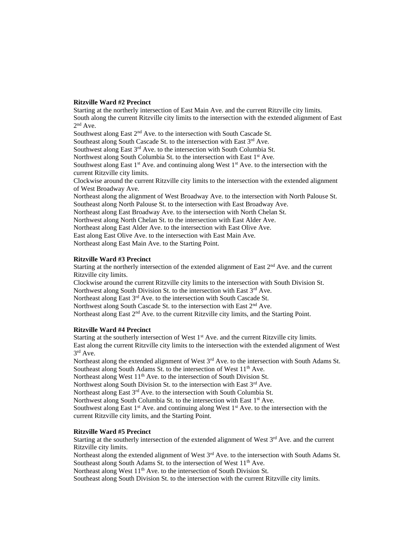#### **Ritzville Ward #2 Precinct**

Starting at the northerly intersection of East Main Ave. and the current Ritzville city limits. South along the current Ritzville city limits to the intersection with the extended alignment of East  $2<sup>nd</sup>$  Ave. Southwest along East 2<sup>nd</sup> Ave. to the intersection with South Cascade St.

Southeast along South Cascade St. to the intersection with East  $3<sup>rd</sup>$  Ave.

Southwest along East  $3<sup>rd</sup>$  Ave. to the intersection with South Columbia St.

Northwest along South Columbia St. to the intersection with East 1<sup>st</sup> Ave.

Southwest along East  $1<sup>st</sup>$  Ave. and continuing along West  $1<sup>st</sup>$  Ave. to the intersection with the current Ritzville city limits.

Clockwise around the current Ritzville city limits to the intersection with the extended alignment of West Broadway Ave.

Northeast along the alignment of West Broadway Ave. to the intersection with North Palouse St. Southeast along North Palouse St. to the intersection with East Broadway Ave.

Northeast along East Broadway Ave. to the intersection with North Chelan St.

Northwest along North Chelan St. to the intersection with East Alder Ave.

Northeast along East Alder Ave. to the intersection with East Olive Ave.

East along East Olive Ave. to the intersection with East Main Ave.

Northeast along East Main Ave. to the Starting Point.

#### **Ritzville Ward #3 Precinct**

Starting at the northerly intersection of the extended alignment of East 2<sup>nd</sup> Ave. and the current Ritzville city limits.

Clockwise around the current Ritzville city limits to the intersection with South Division St.

Northwest along South Division St. to the intersection with East 3<sup>rd</sup> Ave.

Northeast along East 3<sup>rd</sup> Ave. to the intersection with South Cascade St.

Northwest along South Cascade St. to the intersection with East 2<sup>nd</sup> Ave.

Northeast along East 2<sup>nd</sup> Ave. to the current Ritzville city limits, and the Starting Point.

### **Ritzville Ward #4 Precinct**

Starting at the southerly intersection of West 1<sup>st</sup> Ave. and the current Ritzville city limits. East along the current Ritzville city limits to the intersection with the extended alignment of West 3 rd Ave.

Northeast along the extended alignment of West  $3<sup>rd</sup>$  Ave. to the intersection with South Adams St. Southeast along South Adams St. to the intersection of West 11<sup>th</sup> Ave.

Northeast along West 11<sup>th</sup> Ave. to the intersection of South Division St.

Northwest along South Division St. to the intersection with East  $3<sup>rd</sup>$  Ave.

Northeast along East  $3<sup>rd</sup>$  Ave. to the intersection with South Columbia St.

Northwest along South Columbia St. to the intersection with East 1<sup>st</sup> Ave.

Southwest along East  $1<sup>st</sup>$  Ave. and continuing along West  $1<sup>st</sup>$  Ave. to the intersection with the current Ritzville city limits, and the Starting Point.

### **Ritzville Ward #5 Precinct**

Starting at the southerly intersection of the extended alignment of West 3<sup>rd</sup> Ave. and the current Ritzville city limits.

Northeast along the extended alignment of West 3<sup>rd</sup> Ave. to the intersection with South Adams St. Southeast along South Adams St. to the intersection of West 11<sup>th</sup> Ave.

Northeast along West 11<sup>th</sup> Ave. to the intersection of South Division St.

Southeast along South Division St. to the intersection with the current Ritzville city limits.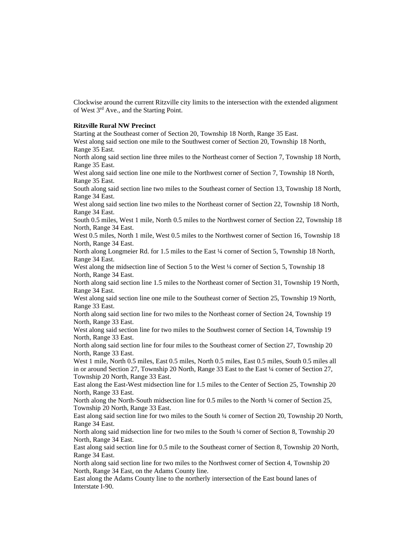Clockwise around the current Ritzville city limits to the intersection with the extended alignment of West 3rd Ave., and the Starting Point.

#### **Ritzville Rural NW Precinct**

Starting at the Southeast corner of Section 20, Township 18 North, Range 35 East.

West along said section one mile to the Southwest corner of Section 20, Township 18 North, Range 35 East.

North along said section line three miles to the Northeast corner of Section 7, Township 18 North, Range 35 East.

West along said section line one mile to the Northwest corner of Section 7, Township 18 North, Range 35 East.

South along said section line two miles to the Southeast corner of Section 13, Township 18 North, Range 34 East.

West along said section line two miles to the Northeast corner of Section 22, Township 18 North, Range 34 East.

South 0.5 miles, West 1 mile, North 0.5 miles to the Northwest corner of Section 22, Township 18 North, Range 34 East.

West 0.5 miles, North 1 mile, West 0.5 miles to the Northwest corner of Section 16, Township 18 North, Range 34 East.

North along Longmeier Rd. for 1.5 miles to the East ¼ corner of Section 5, Township 18 North, Range 34 East.

West along the midsection line of Section 5 to the West 1/4 corner of Section 5, Township 18 North, Range 34 East.

North along said section line 1.5 miles to the Northeast corner of Section 31, Township 19 North, Range 34 East.

West along said section line one mile to the Southeast corner of Section 25, Township 19 North, Range 33 East.

North along said section line for two miles to the Northeast corner of Section 24, Township 19 North, Range 33 East.

West along said section line for two miles to the Southwest corner of Section 14, Township 19 North, Range 33 East.

North along said section line for four miles to the Southeast corner of Section 27, Township 20 North, Range 33 East.

West 1 mile, North 0.5 miles, East 0.5 miles, North 0.5 miles, East 0.5 miles, South 0.5 miles all in or around Section 27, Township 20 North, Range 33 East to the East ¼ corner of Section 27, Township 20 North, Range 33 East.

East along the East-West midsection line for 1.5 miles to the Center of Section 25, Township 20 North, Range 33 East.

North along the North-South midsection line for 0.5 miles to the North ¼ corner of Section 25, Township 20 North, Range 33 East.

East along said section line for two miles to the South ¼ corner of Section 20, Township 20 North, Range 34 East.

North along said midsection line for two miles to the South ¼ corner of Section 8, Township 20 North, Range 34 East.

East along said section line for 0.5 mile to the Southeast corner of Section 8, Township 20 North, Range 34 East.

North along said section line for two miles to the Northwest corner of Section 4, Township 20 North, Range 34 East, on the Adams County line.

East along the Adams County line to the northerly intersection of the East bound lanes of Interstate I-90.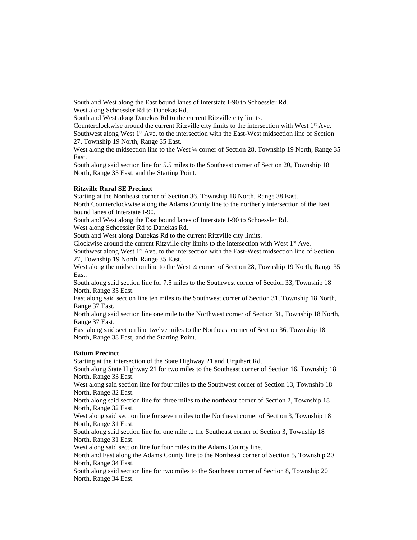South and West along the East bound lanes of Interstate I-90 to Schoessler Rd. West along Schoessler Rd to Danekas Rd.

South and West along Danekas Rd to the current Ritzville city limits.

Counterclockwise around the current Ritzville city limits to the intersection with West  $1<sup>st</sup>$  Ave. Southwest along West 1<sup>st</sup> Ave. to the intersection with the East-West midsection line of Section 27, Township 19 North, Range 35 East.

West along the midsection line to the West 1/4 corner of Section 28, Township 19 North, Range 35 East.

South along said section line for 5.5 miles to the Southeast corner of Section 20, Township 18 North, Range 35 East, and the Starting Point.

#### **Ritzville Rural SE Precinct**

Starting at the Northeast corner of Section 36, Township 18 North, Range 38 East. North Counterclockwise along the Adams County line to the northerly intersection of the East bound lanes of Interstate I-90.

South and West along the East bound lanes of Interstate I-90 to Schoessler Rd.

West along Schoessler Rd to Danekas Rd.

South and West along Danekas Rd to the current Ritzville city limits.

Clockwise around the current Ritzville city limits to the intersection with West  $1<sup>st</sup>$  Ave.

Southwest along West 1<sup>st</sup> Ave. to the intersection with the East-West midsection line of Section 27, Township 19 North, Range 35 East.

West along the midsection line to the West ¼ corner of Section 28, Township 19 North, Range 35 East.

South along said section line for 7.5 miles to the Southwest corner of Section 33, Township 18 North, Range 35 East.

East along said section line ten miles to the Southwest corner of Section 31, Township 18 North, Range 37 East.

North along said section line one mile to the Northwest corner of Section 31, Township 18 North, Range 37 East.

East along said section line twelve miles to the Northeast corner of Section 36, Township 18 North, Range 38 East, and the Starting Point.

### **Batum Precinct**

Starting at the intersection of the State Highway 21 and Urquhart Rd.

South along State Highway 21 for two miles to the Southeast corner of Section 16, Township 18 North, Range 33 East.

West along said section line for four miles to the Southwest corner of Section 13, Township 18 North, Range 32 East.

North along said section line for three miles to the northeast corner of Section 2, Township 18 North, Range 32 East.

West along said section line for seven miles to the Northeast corner of Section 3, Township 18 North, Range 31 East.

South along said section line for one mile to the Southeast corner of Section 3, Township 18 North, Range 31 East.

West along said section line for four miles to the Adams County line.

North and East along the Adams County line to the Northeast corner of Section 5, Township 20 North, Range 34 East.

South along said section line for two miles to the Southeast corner of Section 8, Township 20 North, Range 34 East.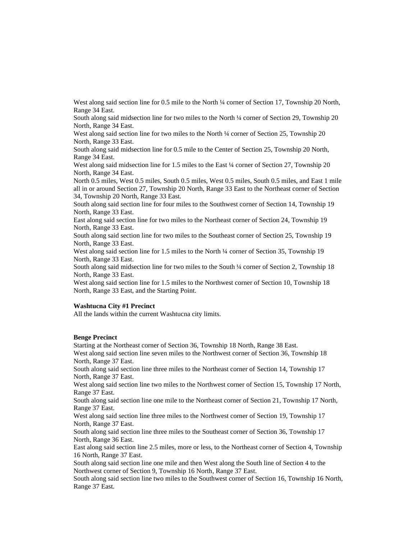West along said section line for 0.5 mile to the North ¼ corner of Section 17, Township 20 North, Range 34 East.

South along said midsection line for two miles to the North ¼ corner of Section 29, Township 20 North, Range 34 East.

West along said section line for two miles to the North ¼ corner of Section 25, Township 20 North, Range 33 East.

South along said midsection line for 0.5 mile to the Center of Section 25, Township 20 North, Range 34 East.

West along said midsection line for 1.5 miles to the East ¼ corner of Section 27, Township 20 North, Range 34 East.

North 0.5 miles, West 0.5 miles, South 0.5 miles, West 0.5 miles, South 0.5 miles, and East 1 mile all in or around Section 27, Township 20 North, Range 33 East to the Northeast corner of Section 34, Township 20 North, Range 33 East.

South along said section line for four miles to the Southwest corner of Section 14, Township 19 North, Range 33 East.

East along said section line for two miles to the Northeast corner of Section 24, Township 19 North, Range 33 East.

South along said section line for two miles to the Southeast corner of Section 25, Township 19 North, Range 33 East.

West along said section line for 1.5 miles to the North ¼ corner of Section 35, Township 19 North, Range 33 East.

South along said midsection line for two miles to the South ¼ corner of Section 2, Township 18 North, Range 33 East.

West along said section line for 1.5 miles to the Northwest corner of Section 10, Township 18 North, Range 33 East, and the Starting Point.

### **Washtucna City #1 Precinct**

All the lands within the current Washtucna city limits.

#### **Benge Precinct**

Starting at the Northeast corner of Section 36, Township 18 North, Range 38 East. West along said section line seven miles to the Northwest corner of Section 36, Township 18 North, Range 37 East.

South along said section line three miles to the Northeast corner of Section 14, Township 17 North, Range 37 East.

West along said section line two miles to the Northwest corner of Section 15, Township 17 North, Range 37 East.

South along said section line one mile to the Northeast corner of Section 21, Township 17 North, Range 37 East.

West along said section line three miles to the Northwest corner of Section 19, Township 17 North, Range 37 East.

South along said section line three miles to the Southeast corner of Section 36, Township 17 North, Range 36 East.

East along said section line 2.5 miles, more or less, to the Northeast corner of Section 4, Township 16 North, Range 37 East.

South along said section line one mile and then West along the South line of Section 4 to the Northwest corner of Section 9, Township 16 North, Range 37 East.

South along said section line two miles to the Southwest corner of Section 16, Township 16 North, Range 37 East.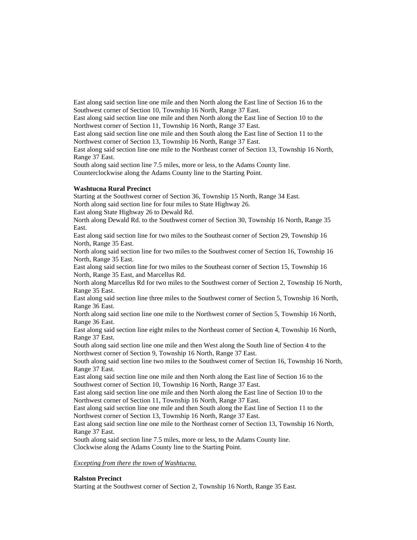East along said section line one mile and then North along the East line of Section 16 to the Southwest corner of Section 10, Township 16 North, Range 37 East.

East along said section line one mile and then North along the East line of Section 10 to the Northwest corner of Section 11, Township 16 North, Range 37 East.

East along said section line one mile and then South along the East line of Section 11 to the Northwest corner of Section 13, Township 16 North, Range 37 East.

East along said section line one mile to the Northeast corner of Section 13, Township 16 North, Range 37 East.

South along said section line 7.5 miles, more or less, to the Adams County line. Counterclockwise along the Adams County line to the Starting Point.

#### **Washtucna Rural Precinct**

Starting at the Southwest corner of Section 36, Township 15 North, Range 34 East. North along said section line for four miles to State Highway 26.

East along State Highway 26 to Dewald Rd.

North along Dewald Rd. to the Southwest corner of Section 30, Township 16 North, Range 35 East.

East along said section line for two miles to the Southeast corner of Section 29, Township 16 North, Range 35 East.

North along said section line for two miles to the Southwest corner of Section 16, Township 16 North, Range 35 East.

East along said section line for two miles to the Southeast corner of Section 15, Township 16 North, Range 35 East, and Marcellus Rd.

North along Marcellus Rd for two miles to the Southwest corner of Section 2, Township 16 North, Range 35 East.

East along said section line three miles to the Southwest corner of Section 5, Township 16 North, Range 36 East.

North along said section line one mile to the Northwest corner of Section 5, Township 16 North, Range 36 East.

East along said section line eight miles to the Northeast corner of Section 4, Township 16 North, Range 37 East.

South along said section line one mile and then West along the South line of Section 4 to the Northwest corner of Section 9, Township 16 North, Range 37 East.

South along said section line two miles to the Southwest corner of Section 16, Township 16 North, Range 37 East.

East along said section line one mile and then North along the East line of Section 16 to the Southwest corner of Section 10, Township 16 North, Range 37 East.

East along said section line one mile and then North along the East line of Section 10 to the Northwest corner of Section 11, Township 16 North, Range 37 East.

East along said section line one mile and then South along the East line of Section 11 to the Northwest corner of Section 13, Township 16 North, Range 37 East.

East along said section line one mile to the Northeast corner of Section 13, Township 16 North, Range 37 East.

South along said section line 7.5 miles, more or less, to the Adams County line. Clockwise along the Adams County line to the Starting Point.

### *Excepting from there the town of Washtucna.*

#### **Ralston Precinct**

Starting at the Southwest corner of Section 2, Township 16 North, Range 35 East.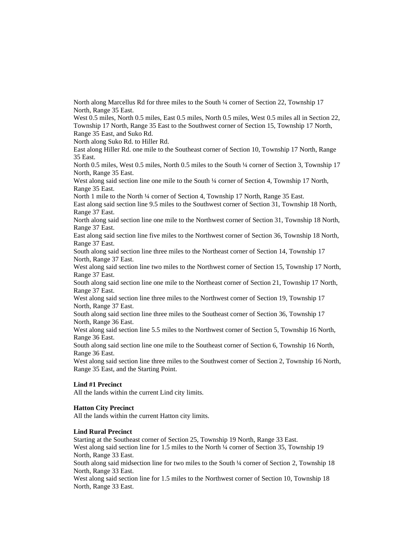North along Marcellus Rd for three miles to the South ¼ corner of Section 22, Township 17 North, Range 35 East.

West 0.5 miles, North 0.5 miles, East 0.5 miles, North 0.5 miles, West 0.5 miles all in Section 22, Township 17 North, Range 35 East to the Southwest corner of Section 15, Township 17 North, Range 35 East, and Suko Rd.

North along Suko Rd. to Hiller Rd.

East along Hiller Rd. one mile to the Southeast corner of Section 10, Township 17 North, Range 35 East.

North 0.5 miles, West 0.5 miles, North 0.5 miles to the South  $\frac{1}{4}$  corner of Section 3, Township 17 North, Range 35 East.

West along said section line one mile to the South ¼ corner of Section 4, Township 17 North, Range 35 East.

North 1 mile to the North ¼ corner of Section 4, Township 17 North, Range 35 East.

East along said section line 9.5 miles to the Southwest corner of Section 31, Township 18 North, Range 37 East.

North along said section line one mile to the Northwest corner of Section 31, Township 18 North, Range 37 East.

East along said section line five miles to the Northwest corner of Section 36, Township 18 North, Range 37 East.

South along said section line three miles to the Northeast corner of Section 14, Township 17 North, Range 37 East.

West along said section line two miles to the Northwest corner of Section 15, Township 17 North, Range 37 East.

South along said section line one mile to the Northeast corner of Section 21, Township 17 North, Range 37 East.

West along said section line three miles to the Northwest corner of Section 19, Township 17 North, Range 37 East.

South along said section line three miles to the Southeast corner of Section 36, Township 17 North, Range 36 East.

West along said section line 5.5 miles to the Northwest corner of Section 5, Township 16 North, Range 36 East.

South along said section line one mile to the Southeast corner of Section 6, Township 16 North, Range 36 East.

West along said section line three miles to the Southwest corner of Section 2, Township 16 North, Range 35 East, and the Starting Point.

#### **Lind #1 Precinct**

All the lands within the current Lind city limits.

#### **Hatton City Precinct**

All the lands within the current Hatton city limits.

### **Lind Rural Precinct**

Starting at the Southeast corner of Section 25, Township 19 North, Range 33 East. West along said section line for 1.5 miles to the North ¼ corner of Section 35, Township 19 North, Range 33 East.

South along said midsection line for two miles to the South ¼ corner of Section 2, Township 18 North, Range 33 East.

West along said section line for 1.5 miles to the Northwest corner of Section 10, Township 18 North, Range 33 East.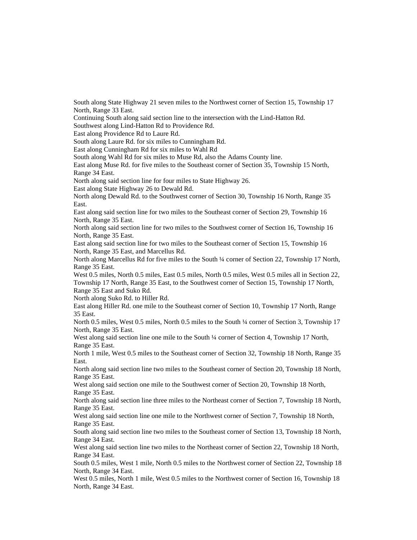South along State Highway 21 seven miles to the Northwest corner of Section 15, Township 17 North, Range 33 East.

Continuing South along said section line to the intersection with the Lind-Hatton Rd.

Southwest along Lind-Hatton Rd to Providence Rd.

East along Providence Rd to Laure Rd.

South along Laure Rd. for six miles to Cunningham Rd.

East along Cunningham Rd for six miles to Wahl Rd

South along Wahl Rd for six miles to Muse Rd, also the Adams County line.

East along Muse Rd. for five miles to the Southeast corner of Section 35, Township 15 North, Range 34 East.

North along said section line for four miles to State Highway 26.

East along State Highway 26 to Dewald Rd.

North along Dewald Rd. to the Southwest corner of Section 30, Township 16 North, Range 35 East.

East along said section line for two miles to the Southeast corner of Section 29, Township 16 North, Range 35 East.

North along said section line for two miles to the Southwest corner of Section 16, Township 16 North, Range 35 East.

East along said section line for two miles to the Southeast corner of Section 15, Township 16 North, Range 35 East, and Marcellus Rd.

North along Marcellus Rd for five miles to the South ¼ corner of Section 22, Township 17 North, Range 35 East.

West 0.5 miles, North 0.5 miles, East 0.5 miles, North 0.5 miles, West 0.5 miles all in Section 22, Township 17 North, Range 35 East, to the Southwest corner of Section 15, Township 17 North, Range 35 East and Suko Rd.

North along Suko Rd. to Hiller Rd.

East along Hiller Rd. one mile to the Southeast corner of Section 10, Township 17 North, Range 35 East.

North 0.5 miles, West 0.5 miles, North 0.5 miles to the South ¼ corner of Section 3, Township 17 North, Range 35 East.

West along said section line one mile to the South ¼ corner of Section 4, Township 17 North, Range 35 East.

North 1 mile, West 0.5 miles to the Southeast corner of Section 32, Township 18 North, Range 35 East.

North along said section line two miles to the Southeast corner of Section 20, Township 18 North, Range 35 East.

West along said section one mile to the Southwest corner of Section 20, Township 18 North, Range 35 East.

North along said section line three miles to the Northeast corner of Section 7, Township 18 North, Range 35 East.

West along said section line one mile to the Northwest corner of Section 7, Township 18 North, Range 35 East.

South along said section line two miles to the Southeast corner of Section 13, Township 18 North, Range 34 East.

West along said section line two miles to the Northeast corner of Section 22, Township 18 North, Range 34 East.

South 0.5 miles, West 1 mile, North 0.5 miles to the Northwest corner of Section 22, Township 18 North, Range 34 East.

West 0.5 miles, North 1 mile, West 0.5 miles to the Northwest corner of Section 16, Township 18 North, Range 34 East.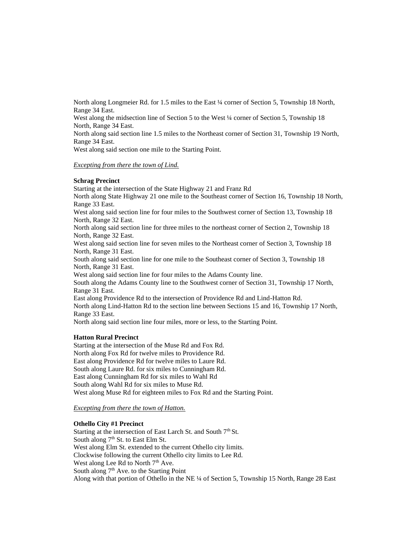North along Longmeier Rd. for 1.5 miles to the East ¼ corner of Section 5, Township 18 North, Range 34 East.

West along the midsection line of Section 5 to the West ¼ corner of Section 5, Township 18 North, Range 34 East.

North along said section line 1.5 miles to the Northeast corner of Section 31, Township 19 North, Range 34 East.

West along said section one mile to the Starting Point.

#### *Excepting from there the town of Lind.*

#### **Schrag Precinct**

Starting at the intersection of the State Highway 21 and Franz Rd North along State Highway 21 one mile to the Southeast corner of Section 16, Township 18 North, Range 33 East. West along said section line for four miles to the Southwest corner of Section 13, Township 18 North, Range 32 East. North along said section line for three miles to the northeast corner of Section 2, Township 18 North, Range 32 East. West along said section line for seven miles to the Northeast corner of Section 3, Township 18 North, Range 31 East. South along said section line for one mile to the Southeast corner of Section 3, Township 18 North, Range 31 East. West along said section line for four miles to the Adams County line. South along the Adams County line to the Southwest corner of Section 31, Township 17 North, Range 31 East. East along Providence Rd to the intersection of Providence Rd and Lind-Hatton Rd. North along Lind-Hatton Rd to the section line between Sections 15 and 16, Township 17 North, Range 33 East. North along said section line four miles, more or less, to the Starting Point.

#### **Hatton Rural Precinct**

Starting at the intersection of the Muse Rd and Fox Rd. North along Fox Rd for twelve miles to Providence Rd. East along Providence Rd for twelve miles to Laure Rd. South along Laure Rd. for six miles to Cunningham Rd. East along Cunningham Rd for six miles to Wahl Rd South along Wahl Rd for six miles to Muse Rd. West along Muse Rd for eighteen miles to Fox Rd and the Starting Point.

### *Excepting from there the town of Hatton.*

### **Othello City #1 Precinct**

Starting at the intersection of East Larch St. and South 7<sup>th</sup> St. South along  $7<sup>th</sup>$  St. to East Elm St. West along Elm St. extended to the current Othello city limits. Clockwise following the current Othello city limits to Lee Rd. West along Lee Rd to North  $7<sup>th</sup>$  Ave. South along  $7<sup>th</sup>$  Ave. to the Starting Point Along with that portion of Othello in the NE ¼ of Section 5, Township 15 North, Range 28 East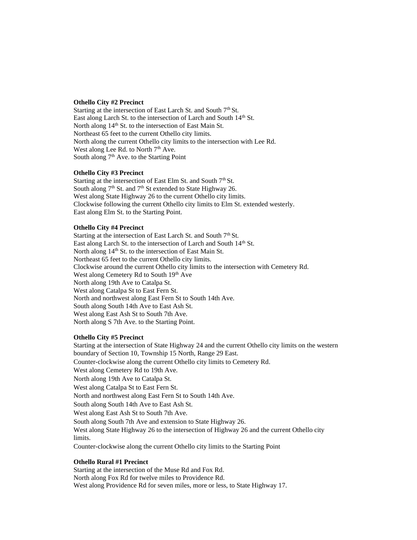### **Othello City #2 Precinct**

Starting at the intersection of East Larch St. and South  $7<sup>th</sup>$  St. East along Larch St. to the intersection of Larch and South 14<sup>th</sup> St. North along 14<sup>th</sup> St. to the intersection of East Main St. Northeast 65 feet to the current Othello city limits. North along the current Othello city limits to the intersection with Lee Rd. West along Lee Rd. to North 7<sup>th</sup> Ave. South along 7<sup>th</sup> Ave. to the Starting Point

#### **Othello City #3 Precinct**

Starting at the intersection of East Elm St. and South  $7<sup>th</sup>$  St. South along  $7<sup>th</sup>$  St. and  $7<sup>th</sup>$  St extended to State Highway 26. West along State Highway 26 to the current Othello city limits. Clockwise following the current Othello city limits to Elm St. extended westerly. East along Elm St. to the Starting Point.

#### **Othello City #4 Precinct**

Starting at the intersection of East Larch St. and South  $7<sup>th</sup>$  St. East along Larch St. to the intersection of Larch and South 14<sup>th</sup> St. North along 14<sup>th</sup> St. to the intersection of East Main St. Northeast 65 feet to the current Othello city limits. Clockwise around the current Othello city limits to the intersection with Cemetery Rd. West along Cemetery Rd to South 19th Ave North along 19th Ave to Catalpa St. West along Catalpa St to East Fern St. North and northwest along East Fern St to South 14th Ave. South along South 14th Ave to East Ash St. West along East Ash St to South 7th Ave. North along S 7th Ave. to the Starting Point.

### **Othello City #5 Precinct**

Starting at the intersection of State Highway 24 and the current Othello city limits on the western boundary of Section 10, Township 15 North, Range 29 East. Counter-clockwise along the current Othello city limits to Cemetery Rd. West along Cemetery Rd to 19th Ave. North along 19th Ave to Catalpa St. West along Catalpa St to East Fern St. North and northwest along East Fern St to South 14th Ave. South along South 14th Ave to East Ash St. West along East Ash St to South 7th Ave. South along South 7th Ave and extension to State Highway 26. West along State Highway 26 to the intersection of Highway 26 and the current Othello city limits. Counter-clockwise along the current Othello city limits to the Starting Point

#### **Othello Rural #1 Precinct**

Starting at the intersection of the Muse Rd and Fox Rd. North along Fox Rd for twelve miles to Providence Rd. West along Providence Rd for seven miles, more or less, to State Highway 17.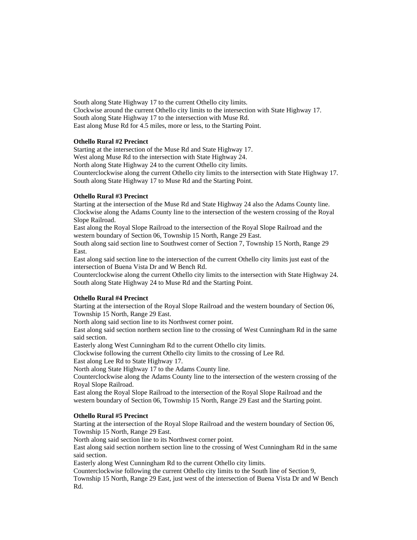South along State Highway 17 to the current Othello city limits. Clockwise around the current Othello city limits to the intersection with State Highway 17. South along State Highway 17 to the intersection with Muse Rd. East along Muse Rd for 4.5 miles, more or less, to the Starting Point.

### **Othello Rural #2 Precinct**

Starting at the intersection of the Muse Rd and State Highway 17. West along Muse Rd to the intersection with State Highway 24. North along State Highway 24 to the current Othello city limits. Counterclockwise along the current Othello city limits to the intersection with State Highway 17. South along State Highway 17 to Muse Rd and the Starting Point.

#### **Othello Rural #3 Precinct**

Starting at the intersection of the Muse Rd and State Highway 24 also the Adams County line. Clockwise along the Adams County line to the intersection of the western crossing of the Royal Slope Railroad.

East along the Royal Slope Railroad to the intersection of the Royal Slope Railroad and the western boundary of Section 06, Township 15 North, Range 29 East.

South along said section line to Southwest corner of Section 7, Township 15 North, Range 29 East.

East along said section line to the intersection of the current Othello city limits just east of the intersection of Buena Vista Dr and W Bench Rd.

Counterclockwise along the current Othello city limits to the intersection with State Highway 24. South along State Highway 24 to Muse Rd and the Starting Point.

#### **Othello Rural #4 Precinct**

Starting at the intersection of the Royal Slope Railroad and the western boundary of Section 06, Township 15 North, Range 29 East.

North along said section line to its Northwest corner point.

East along said section northern section line to the crossing of West Cunningham Rd in the same said section.

Easterly along West Cunningham Rd to the current Othello city limits.

Clockwise following the current Othello city limits to the crossing of Lee Rd.

East along Lee Rd to State Highway 17.

North along State Highway 17 to the Adams County line.

Counterclockwise along the Adams County line to the intersection of the western crossing of the Royal Slope Railroad.

East along the Royal Slope Railroad to the intersection of the Royal Slope Railroad and the western boundary of Section 06, Township 15 North, Range 29 East and the Starting point.

### **Othello Rural #5 Precinct**

Starting at the intersection of the Royal Slope Railroad and the western boundary of Section 06, Township 15 North, Range 29 East.

North along said section line to its Northwest corner point.

East along said section northern section line to the crossing of West Cunningham Rd in the same said section.

Easterly along West Cunningham Rd to the current Othello city limits.

Counterclockwise following the current Othello city limits to the South line of Section 9, Township 15 North, Range 29 East, just west of the intersection of Buena Vista Dr and W Bench Rd.